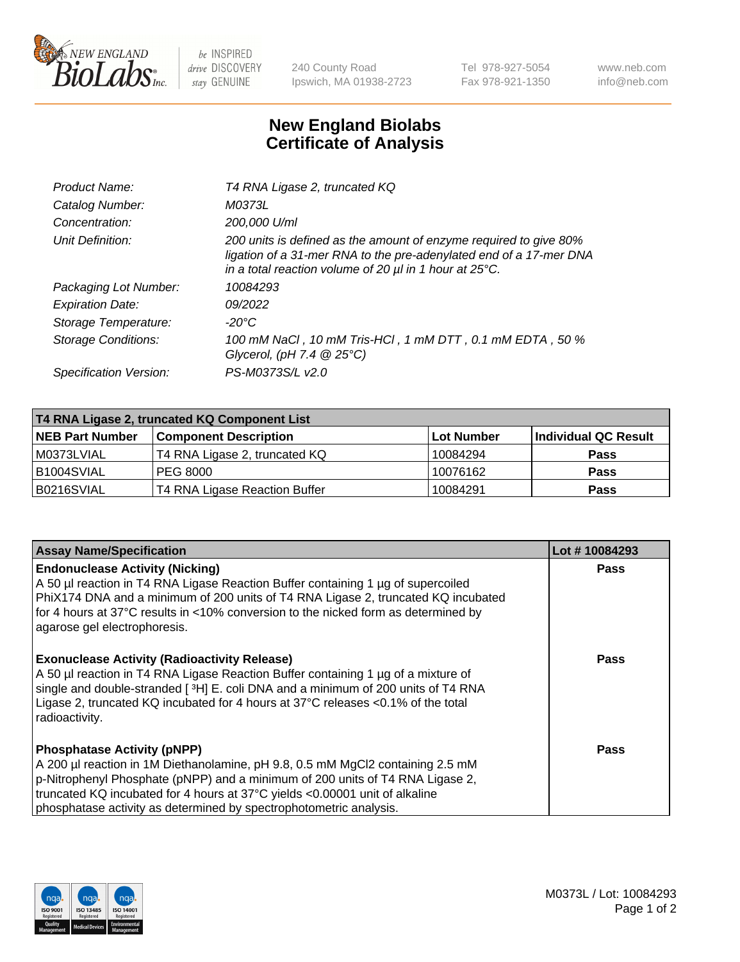

 $be$  INSPIRED drive DISCOVERY stay GENUINE

240 County Road Ipswich, MA 01938-2723 Tel 978-927-5054 Fax 978-921-1350 www.neb.com info@neb.com

## **New England Biolabs Certificate of Analysis**

| Product Name:              | T4 RNA Ligase 2, truncated KQ                                                                                                                                                                                    |
|----------------------------|------------------------------------------------------------------------------------------------------------------------------------------------------------------------------------------------------------------|
| Catalog Number:            | M0373L                                                                                                                                                                                                           |
| Concentration:             | 200,000 U/ml                                                                                                                                                                                                     |
| Unit Definition:           | 200 units is defined as the amount of enzyme required to give 80%<br>ligation of a 31-mer RNA to the pre-adenylated end of a 17-mer DNA<br>in a total reaction volume of 20 $\mu$ l in 1 hour at 25 $\degree$ C. |
| Packaging Lot Number:      | 10084293                                                                                                                                                                                                         |
| <b>Expiration Date:</b>    | 09/2022                                                                                                                                                                                                          |
| Storage Temperature:       | $-20^{\circ}$ C                                                                                                                                                                                                  |
| <b>Storage Conditions:</b> | 100 mM NaCl, 10 mM Tris-HCl, 1 mM DTT, 0.1 mM EDTA, 50 %<br>Glycerol, (pH 7.4 $@25°C$ )                                                                                                                          |
| Specification Version:     | PS-M0373S/L v2.0                                                                                                                                                                                                 |

| T4 RNA Ligase 2, truncated KQ Component List |                               |                   |                      |  |
|----------------------------------------------|-------------------------------|-------------------|----------------------|--|
| <b>NEB Part Number</b>                       | <b>Component Description</b>  | <b>Lot Number</b> | Individual QC Result |  |
| l M0373LVIAL                                 | T4 RNA Ligase 2, truncated KQ | 10084294          | <b>Pass</b>          |  |
| B1004SVIAL                                   | <b>PEG 8000</b>               | 10076162          | <b>Pass</b>          |  |
| B0216SVIAL                                   | T4 RNA Ligase Reaction Buffer | 10084291          | <b>Pass</b>          |  |

| <b>Assay Name/Specification</b>                                                                                                                                                                                                                                                                                                                                    | Lot #10084293 |
|--------------------------------------------------------------------------------------------------------------------------------------------------------------------------------------------------------------------------------------------------------------------------------------------------------------------------------------------------------------------|---------------|
| <b>Endonuclease Activity (Nicking)</b><br>A 50 µl reaction in T4 RNA Ligase Reaction Buffer containing 1 µg of supercoiled<br>PhiX174 DNA and a minimum of 200 units of T4 RNA Ligase 2, truncated KQ incubated<br>for 4 hours at 37°C results in <10% conversion to the nicked form as determined by<br>agarose gel electrophoresis.                              | <b>Pass</b>   |
| <b>Exonuclease Activity (Radioactivity Release)</b><br>A 50 µl reaction in T4 RNA Ligase Reaction Buffer containing 1 µg of a mixture of<br>single and double-stranded [ <sup>3</sup> H] E. coli DNA and a minimum of 200 units of T4 RNA<br>Ligase 2, truncated KQ incubated for 4 hours at 37°C releases <0.1% of the total<br>radioactivity.                    | <b>Pass</b>   |
| <b>Phosphatase Activity (pNPP)</b><br>A 200 µl reaction in 1M Diethanolamine, pH 9.8, 0.5 mM MgCl2 containing 2.5 mM<br>$\vert$ p-Nitrophenyl Phosphate (pNPP) and a minimum of 200 units of T4 RNA Ligase 2,<br>truncated KQ incubated for 4 hours at 37°C yields <0.00001 unit of alkaline<br>phosphatase activity as determined by spectrophotometric analysis. | Pass          |